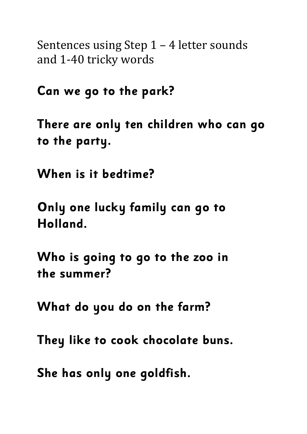Sentences using Step  $1 - 4$  letter sounds and 1-40 tricky words

**Can we go to the park?**

**There are only ten children who can go to the party.**

**When is it bedtime?**

**Only one lucky family can go to Holland.**

**Who is going to go to the zoo in the summer?**

**What do you do on the farm?**

**They like to cook chocolate buns.**

**She has only one goldfish.**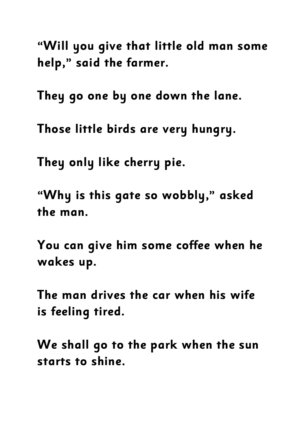**"Will you give that little old man some help," said the farmer.**

**They go one by one down the lane.**

**Those little birds are very hungry.**

**They only like cherry pie.**

**"Why is this gate so wobbly," asked the man.**

**You can give him some coffee when he wakes up.**

**The man drives the car when his wife is feeling tired.**

**We shall go to the park when the sun starts to shine.**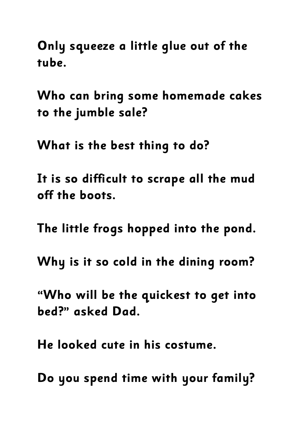**Only squeeze a little glue out of the tube.**

**Who can bring some homemade cakes to the jumble sale?**

**What is the best thing to do?**

**It is so difficult to scrape all the mud off the boots.**

**The little frogs hopped into the pond.**

**Why is it so cold in the dining room?**

**"Who will be the quickest to get into bed?" asked Dad.**

**He looked cute in his costume.**

**Do you spend time with your family?**